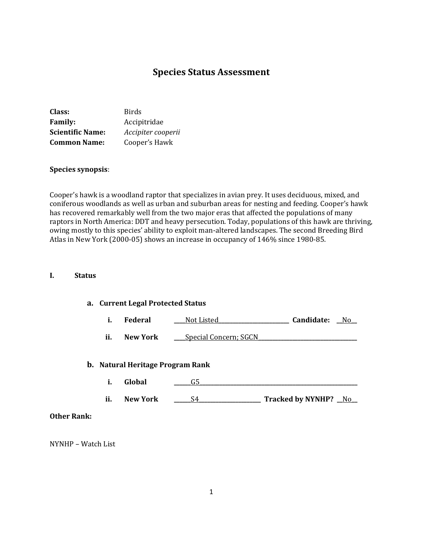# **Species Status Assessment**

| Class:                  | <b>Birds</b>       |
|-------------------------|--------------------|
| <b>Family:</b>          | Accipitridae       |
| <b>Scientific Name:</b> | Accipiter cooperii |
| <b>Common Name:</b>     | Cooper's Hawk      |

#### **Species synopsis**:

Cooper's hawk is a woodland raptor that specializes in avian prey. It uses deciduous, mixed, and coniferous woodlands as well as urban and suburban areas for nesting and feeding. Cooper's hawk has recovered remarkably well from the two major eras that affected the populations of many raptors in North America: DDT and heavy persecution. Today, populations of this hawk are thriving, owing mostly to this species' ability to exploit man-altered landscapes. The second Breeding Bird Atlas in New York (2000-05) shows an increase in occupancy of 146% since 1980-85.

#### **I. Status**

## **a. Current Legal Protected Status**

|  | Federal | Not Listed | Candidate: | N٢ |
|--|---------|------------|------------|----|
|--|---------|------------|------------|----|

**ii. New York** <u>\_\_\_\_Special Concern; SGCN</u>

#### **b. Natural Heritage Program Rank**

- **i. Global \_\_\_\_\_\_**G5**\_\_\_\_\_\_\_\_\_\_\_\_\_\_\_\_\_\_\_\_\_\_\_\_\_\_\_\_\_\_\_\_\_\_\_\_\_\_\_\_\_\_\_\_\_\_\_\_\_\_\_\_\_\_\_\_**
- **ii. New York \_\_\_\_\_\_**S4**\_\_\_\_\_\_\_\_\_\_\_\_\_\_\_\_\_\_\_\_\_\_ Tracked by NYNHP? \_\_**No**\_\_**

### **Other Rank:**

NYNHP – Watch List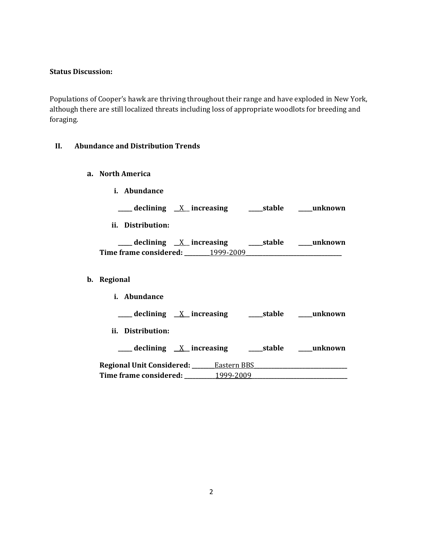### **Status Discussion:**

Populations of Cooper's hawk are thriving throughout their range and have exploded in New York, although there are still localized threats including loss of appropriate woodlots for breeding and foraging.

## **II. Abundance and Distribution Trends**

**a. North America**

| <i>i.</i> Abundance                                             |  |
|-----------------------------------------------------------------|--|
|                                                                 |  |
| ii. Distribution:                                               |  |
| <u>___</u> declining <u>X</u> increasing ____stable ____unknown |  |
|                                                                 |  |
| b. Regional<br><i>i.</i> Abundance                              |  |
| ___ declining <u>X</u> increasing ____ stable ____ unknown      |  |
| ii. Distribution:                                               |  |
|                                                                 |  |
|                                                                 |  |
|                                                                 |  |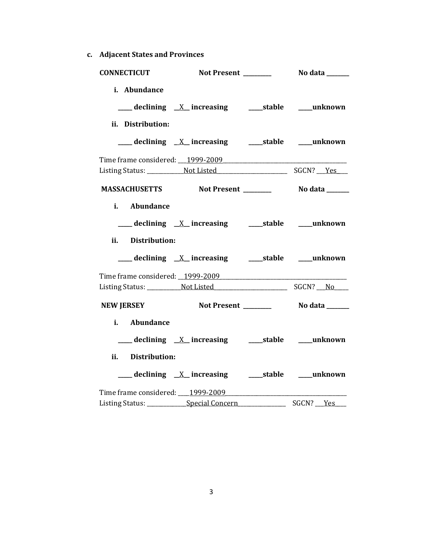**c. Adjacent States and Provinces**

| <b>CONNECTICUT</b>          |                                                             |           |
|-----------------------------|-------------------------------------------------------------|-----------|
| i. Abundance                |                                                             |           |
| ii. Distribution:           |                                                             |           |
|                             |                                                             |           |
|                             |                                                             |           |
|                             |                                                             |           |
| i. Abundance                |                                                             |           |
| <b>Distribution:</b><br>ii. | ___ declining <u>X</u> _increasing _____stable ____unknown  |           |
|                             |                                                             |           |
|                             |                                                             |           |
| <b>NEW JERSEY</b>           |                                                             |           |
| Abundance<br>i.             | ___ declining <u>X</u> _increasing  ____stable  ____unknown |           |
| ii. Distribution:           |                                                             |           |
|                             |                                                             |           |
|                             | Time frame considered: 1999-2009                            |           |
|                             |                                                             | SGCN? Yes |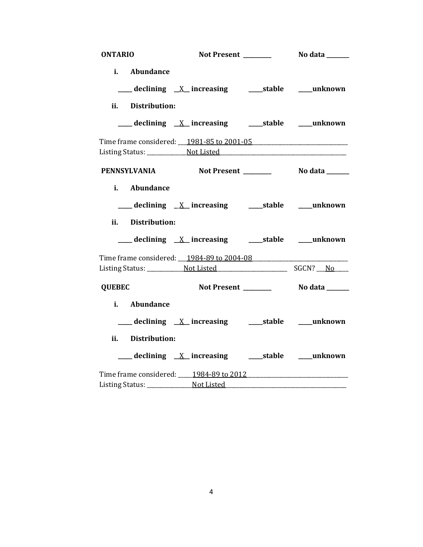| <b>ONTARIO</b>      |                                                               |          |
|---------------------|---------------------------------------------------------------|----------|
| i. Abundance        |                                                               |          |
|                     | ___ declining <u>X</u> increasing ____ stable ____ unknown    |          |
| ii. Distribution:   |                                                               |          |
|                     | ___declining <u>X</u> _increasing ____stable ___unknown       |          |
|                     | Time frame considered: 1981-85 to 2001-05                     |          |
|                     |                                                               |          |
| <b>PENNSYLVANIA</b> |                                                               |          |
| i. Abundance        |                                                               |          |
|                     |                                                               |          |
| ii. Distribution:   |                                                               |          |
|                     | ___ declining _X_ increasing _______stable _____unknown       |          |
|                     |                                                               |          |
|                     |                                                               | SGCN? No |
| <b>QUEBEC</b>       |                                                               |          |
| Abundance<br>i. I   |                                                               |          |
|                     | ___ declining <u>X</u> _increasing _____stable ____unknown    |          |
| ii. Distribution:   |                                                               |          |
|                     | ____ declining <u>X</u> _increasing ______stable _____unknown |          |
|                     | Time frame considered: 1984-89 to 2012                        |          |
|                     |                                                               |          |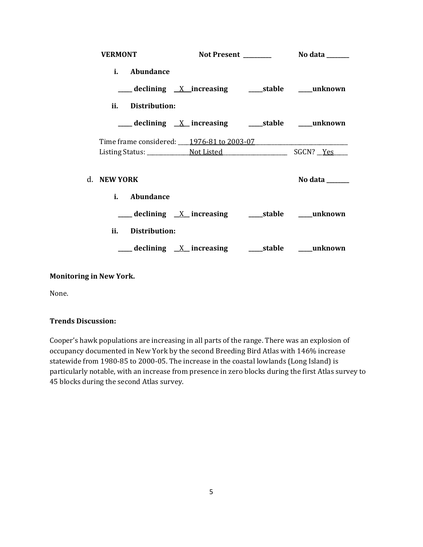| <b>VERMONT</b>                            |                                                             |         |
|-------------------------------------------|-------------------------------------------------------------|---------|
| <i>i.</i> Abundance                       | ___ declining <u>X</u> increasing ____ stable ____ unknown  |         |
| ii.<br>Distribution:                      |                                                             |         |
|                                           | ___ declining _X_ increasing _______stable _____unknown     |         |
| Time frame considered: 1976-81 to 2003-07 |                                                             |         |
|                                           |                                                             |         |
| d. NEW YORK                               |                                                             | No data |
| i. Abundance                              |                                                             |         |
|                                           |                                                             |         |
| ii.<br>Distribution:                      |                                                             |         |
|                                           | ___ declining <u>X</u> _increasing ____ stable ____ unknown |         |

## **Monitoring in New York.**

None.

## **Trends Discussion:**

Cooper's hawk populations are increasing in all parts of the range. There was an explosion of occupancy documented in New York by the second Breeding Bird Atlas with 146% increase statewide from 1980-85 to 2000-05. The increase in the coastal lowlands (Long Island) is particularly notable, with an increase from presence in zero blocks during the first Atlas survey to 45 blocks during the second Atlas survey.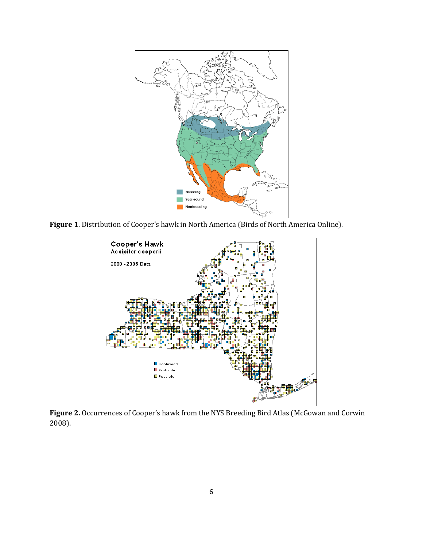

**Figure 1**. Distribution of Cooper's hawk in North America (Birds of North America Online).



**Figure 2.** Occurrences of Cooper's hawk from the NYS Breeding Bird Atlas (McGowan and Corwin 2008).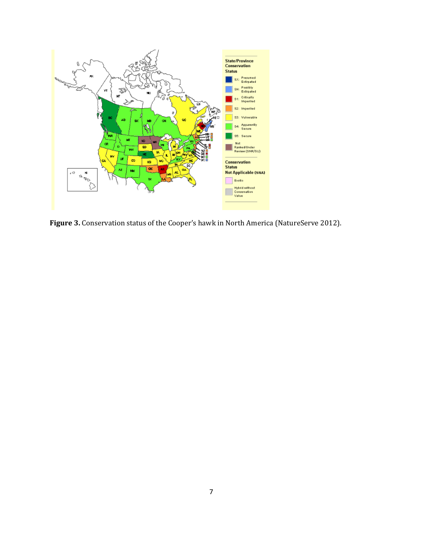

**Figure 3.** Conservation status of the Cooper's hawk in North America (NatureServe 2012).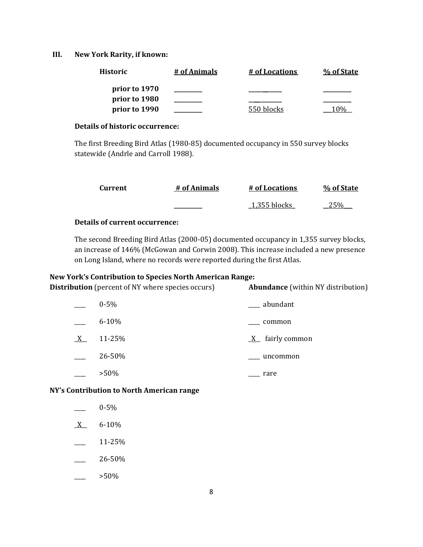### **III. New York Rarity, if known:**

| <b>Historic</b> | # of Animals | # of Locations | % of State |
|-----------------|--------------|----------------|------------|
| prior to 1970   |              |                |            |
| prior to 1980   |              |                |            |
| prior to 1990   |              | 550 blocks     |            |

### **Details of historic occurrence:**

The first Breeding Bird Atlas (1980-85) documented occupancy in 550 survey blocks statewide (Andrle and Carroll 1988).

| Current | # of Animals | # of Locations   | % of State |
|---------|--------------|------------------|------------|
|         |              | $\_1,355$ blocks | フ このん      |

## **Details of current occurrence:**

The second Breeding Bird Atlas (2000-05) documented occupancy in 1,355 survey blocks, an increase of 146% (McGowan and Corwin 2008). This increase included a new presence on Long Island, where no records were reported during the first Atlas.

### **New York's Contribution to Species North American Range:**

| <b>Distribution</b> (percent of NY where species occurs) | <b>Abundance</b> (within NY distribution) |
|----------------------------------------------------------|-------------------------------------------|
| $0 - 5\%$                                                | abundant                                  |
| $6 - 10%$                                                | common                                    |
| 11-25%                                                   | $\underline{X}$ fairly common             |
| 26-50%                                                   | uncommon                                  |
| $>50\%$                                                  | rare                                      |
|                                                          |                                           |

**NY's Contribution to North American range**

|              | $0 - 5%$  |
|--------------|-----------|
| $\mathbf{X}$ | $6 - 10%$ |
|              | 11-25%    |
|              | 26-50%    |
|              | >50%      |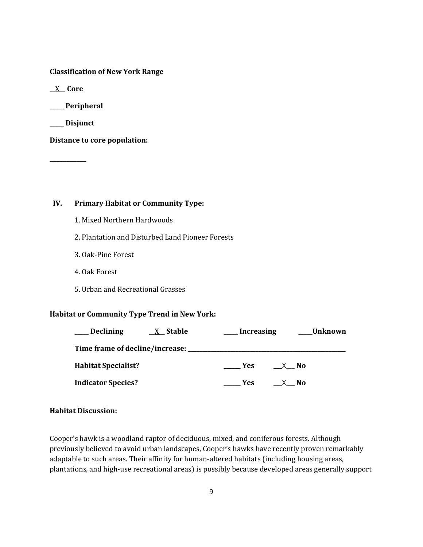**Classification of New York Range**

**\_\_**X**\_\_ Core**

**\_\_\_\_\_ Peripheral**

**\_\_\_\_\_ Disjunct**

**\_\_\_\_\_\_\_\_\_\_\_**

**Distance to core population:**

**IV. Primary Habitat or Community Type:** 

1. Mixed Northern Hardwoods

2. Plantation and Disturbed Land Pioneer Forests

- 3. Oak-Pine Forest
- 4. Oak Forest
- 5. Urban and Recreational Grasses

#### **Habitat or Community Type Trend in New York:**

| _ Declining                | $X_{\mathsf{A}}$ Stable | <b>Increasing</b> | Unknown |
|----------------------------|-------------------------|-------------------|---------|
|                            |                         |                   |         |
| <b>Habitat Specialist?</b> | <b>Yes</b>              | X No              |         |
| <b>Indicator Species?</b>  | <b>Yes</b>              | X No              |         |

### **Habitat Discussion:**

Cooper's hawk is a woodland raptor of deciduous, mixed, and coniferous forests. Although previously believed to avoid urban landscapes, Cooper's hawks have recently proven remarkably adaptable to such areas. Their affinity for human-altered habitats (including housing areas, plantations, and high-use recreational areas) is possibly because developed areas generally support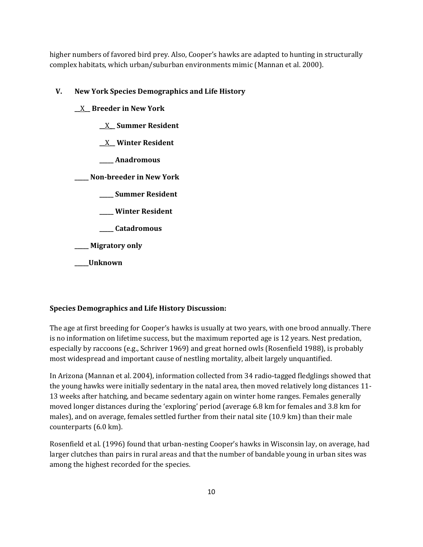higher numbers of favored bird prey. Also, Cooper's hawks are adapted to hunting in structurally complex habitats, which urban/suburban environments mimic (Mannan et al. 2000).

# **V. New York Species Demographics and Life History**

**\_\_**X**\_\_ Breeder in New York**

**\_\_**X**\_\_ Summer Resident**

**\_\_**X**\_\_ Winter Resident**

**\_\_\_\_\_ Anadromous**

**\_\_\_\_\_ Non-breeder in New York**

**\_\_\_\_\_ Summer Resident**

**\_\_\_\_\_ Winter Resident**

**\_\_\_\_\_ Catadromous**

**\_\_\_\_\_ Migratory only**

**\_\_\_\_\_Unknown**

# **Species Demographics and Life History Discussion:**

The age at first breeding for Cooper's hawks is usually at two years, with one brood annually. There is no information on lifetime success, but the maximum reported age is 12 years. Nest predation, especially by raccoons (e.g., Schriver 1969) and great horned owls (Rosenfield 1988), is probably most widespread and important cause of nestling mortality, albeit largely unquantified.

In Arizona (Mannan et al. 2004), information collected from 34 radio-tagged fledglings showed that the young hawks were initially sedentary in the natal area, then moved relatively long distances 11- 13 weeks after hatching, and became sedentary again on winter home ranges. Females generally moved longer distances during the 'exploring' period (average 6.8 km for females and 3.8 km for males), and on average, females settled further from their natal site (10.9 km) than their male counterparts (6.0 km).

Rosenfield et al. (1996) found that urban-nesting Cooper's hawks in Wisconsin lay, on average, had larger clutches than pairs in rural areas and that the number of bandable young in urban sites was among the highest recorded for the species.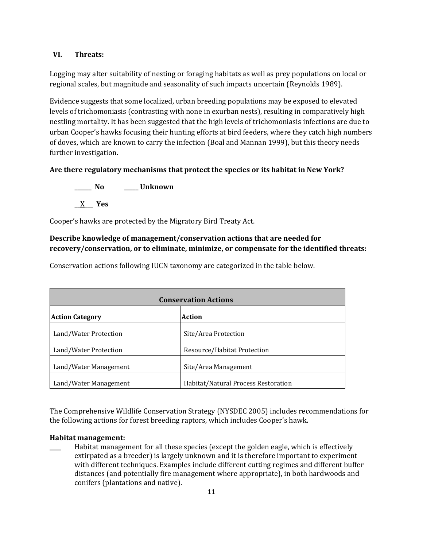### **VI. Threats:**

Logging may alter suitability of nesting or foraging habitats as well as prey populations on local or regional scales, but magnitude and seasonality of such impacts uncertain (Reynolds 1989).

Evidence suggests that some localized, urban breeding populations may be exposed to elevated levels of trichomoniasis (contrasting with none in exurban nests), resulting in comparatively high nestling mortality. It has been suggested that the high levels of trichomoniasis infections are due to urban Cooper's hawks focusing their hunting efforts at bird feeders, where they catch high numbers of doves, which are known to carry the infection (Boal and Mannan 1999), but this theory needs further investigation.

## **Are there regulatory mechanisms that protect the species or its habitat in New York?**

**\_\_\_\_\_\_ No \_\_\_\_\_ Unknown \_\_**X**\_\_\_ Yes** 

Cooper's hawks are protected by the Migratory Bird Treaty Act.

# **Describe knowledge of management/conservation actions that are needed for recovery/conservation, or to eliminate, minimize, or compensate for the identified threats:**

Conservation actions following IUCN taxonomy are categorized in the table below.

| <b>Conservation Actions</b> |                                     |  |
|-----------------------------|-------------------------------------|--|
| <b>Action Category</b>      | Action                              |  |
| Land/Water Protection       | Site/Area Protection                |  |
| Land/Water Protection       | Resource/Habitat Protection         |  |
| Land/Water Management       | Site/Area Management                |  |
| Land/Water Management       | Habitat/Natural Process Restoration |  |

The Comprehensive Wildlife Conservation Strategy (NYSDEC 2005) includes recommendations for the following actions for forest breeding raptors, which includes Cooper's hawk.

### **Habitat management:**

Habitat management for all these species (except the golden eagle, which is effectively extirpated as a breeder) is largely unknown and it is therefore important to experiment with different techniques. Examples include different cutting regimes and different buffer distances (and potentially fire management where appropriate), in both hardwoods and conifers (plantations and native).